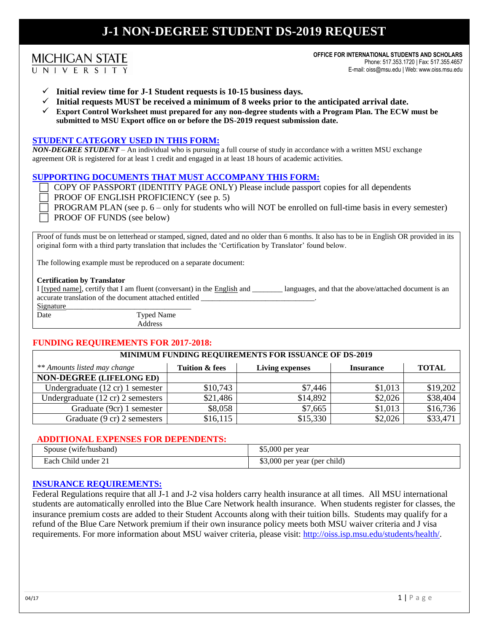# **J-1 NON-DEGREE STUDENT DS-2019 REQUEST**

## **MICHIGAN STATE**

UNIVERSITY

**OFFICE FOR INTERNATIONAL STUDENTS AND SCHOLARS** Phone: 517.353.1720 | Fax: 517.355.4657 E-mail: oiss@msu.edu | Web: www.oiss.msu.edu

- **Initial review time for J-1 Student requests is 10-15 business days.**
- **Initial requests MUST be received a minimum of 8 weeks prior to the anticipated arrival date.**
- **Export Control Worksheet must prepared for any non-degree students with a Program Plan. The ECW must be submitted to MSU Export office on or before the DS-2019 request submission date.**

### **STUDENT CATEGORY USED IN THIS FORM:**

*NON-DEGREE STUDENT* – An individual who is pursuing a full course of study in accordance with a written MSU exchange agreement OR is registered for at least 1 credit and engaged in at least 18 hours of academic activities.

#### **SUPPORTING DOCUMENTS THAT MUST ACCOMPANY THIS FORM:**

- COPY OF PASSPORT (IDENTITY PAGE ONLY) Please include passport copies for all dependents
- PROOF OF ENGLISH PROFICIENCY (see p. 5)

 PROGRAM PLAN (see p. 6 – only for students who will NOT be enrolled on full-time basis in every semester) PROOF OF FUNDS (see below)

Proof of funds must be on letterhead or stamped, signed, dated and no older than 6 months. It also has to be in English OR provided in its original form with a third party translation that includes the 'Certification by Translator' found below.

The following example must be reproduced on a separate document:

#### **Certification by Translator**

I [typed name], certify that I am fluent (conversant) in the English and \_\_\_\_\_\_\_\_ languages, and that the above/attached document is an accurate translation of the document attached entitled

Signature\_

Date Typed Name Address

### **FUNDING REQUIREMENTS FOR 2017-2018:**

### **MINIMUM FUNDING REQUIREMENTS FOR ISSUANCE OF DS-2019**

| ** Amounts listed may change                | Tuition & fees | Living expenses | <b>Insurance</b> | <b>TOTAL</b> |
|---------------------------------------------|----------------|-----------------|------------------|--------------|
| <b>NON-DEGREE (LIFELONG ED)</b>             |                |                 |                  |              |
| Undergraduate $(12 \text{ cr})$ 1 semester  | \$10,743       | \$7,446         | \$1,013          | \$19,202     |
| Undergraduate $(12 \text{ cr})$ 2 semesters | \$21,486       | \$14,892        | \$2,026          | \$38,404     |
| Graduate (9cr) 1 semester                   | \$8,058        | \$7,665         | \$1,013          | \$16,736     |
| Graduate (9 cr) 2 semesters                 | \$16,115       | \$15,330        | \$2,026          | \$33,471     |

#### **ADDITIONAL EXPENSES FOR DEPENDENTS:**

| Spouse (wife/husband) | \$5,000 per year             |
|-----------------------|------------------------------|
| Each Child under 21   | \$3,000 per year (per child) |

#### **INSURANCE REQUIREMENTS:**

Federal Regulations require that all J-1 and J-2 visa holders carry health insurance at all times. All MSU international students are automatically enrolled into the Blue Care Network health insurance. When students register for classes, the insurance premium costs are added to their Student Accounts along with their tuition bills. Students may qualify for a refund of the Blue Care Network premium if their own insurance policy meets both MSU waiver criteria and J visa requirements. For more information about MSU waiver criteria, please visit: http://oiss.isp.msu.edu/students/health/.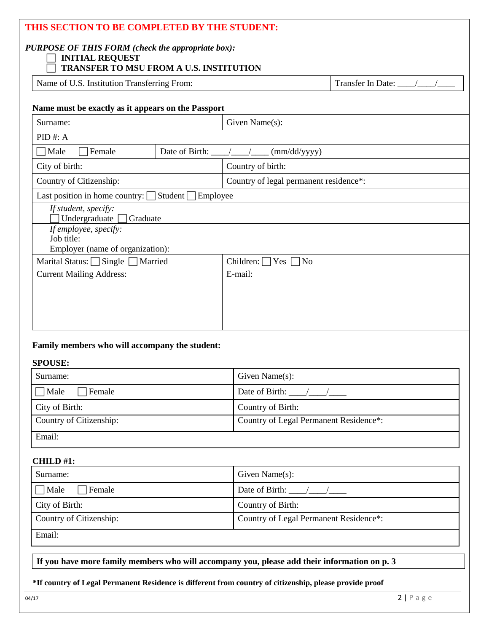| THIS SECTION TO BE COMPLETED BY THE STUDENT:<br><b>PURPOSE OF THIS FORM (check the appropriate box):</b><br><b>INITIAL REQUEST</b><br><b>TRANSFER TO MSU FROM A U.S. INSTITUTION</b> |                                     |                                        |  |  |
|--------------------------------------------------------------------------------------------------------------------------------------------------------------------------------------|-------------------------------------|----------------------------------------|--|--|
| Name of U.S. Institution Transferring From:                                                                                                                                          |                                     |                                        |  |  |
| Name must be exactly as it appears on the Passport                                                                                                                                   |                                     |                                        |  |  |
| Surname:<br>Given Name(s):                                                                                                                                                           |                                     |                                        |  |  |
| $PID$ #: A                                                                                                                                                                           |                                     |                                        |  |  |
| Female<br>$\Box$ Male                                                                                                                                                                | Date of Birth: $\frac{\sqrt{2}}{2}$ | (mm/dd/yyyy)                           |  |  |
| City of birth:                                                                                                                                                                       |                                     | Country of birth:                      |  |  |
| Country of Citizenship:                                                                                                                                                              |                                     | Country of legal permanent residence*: |  |  |
| Last position in home country: $\Box$ Student $\Box$ Employee                                                                                                                        |                                     |                                        |  |  |
| If student, specify:<br>Undergraduate<br>Graduate                                                                                                                                    |                                     |                                        |  |  |
| If employee, specify:<br>Job title:<br>Employer (name of organization):                                                                                                              |                                     |                                        |  |  |
| Marital Status: Single<br>Married<br>Children: $\Box$ Yes $\Box$<br>$\overline{\rm No}$                                                                                              |                                     |                                        |  |  |
| <b>Current Mailing Address:</b>                                                                                                                                                      |                                     | E-mail:                                |  |  |
|                                                                                                                                                                                      |                                     |                                        |  |  |
|                                                                                                                                                                                      |                                     |                                        |  |  |
|                                                                                                                                                                                      |                                     |                                        |  |  |

### **Family members who will accompany the student:**

### **SPOUSE:**

| Surname:                | Given Name $(s)$ :                     |
|-------------------------|----------------------------------------|
| Male<br>Female          | Date of Birth: $\frac{1}{2}$           |
| City of Birth:          | Country of Birth:                      |
| Country of Citizenship: | Country of Legal Permanent Residence*: |
| Email:                  |                                        |

### **CHILD #1:**

| Surname:                | Given Name $(s)$ :                     |
|-------------------------|----------------------------------------|
| Male<br>Female          | Date of Birth: $\frac{1}{2}$ /         |
| City of Birth:          | Country of Birth:                      |
| Country of Citizenship: | Country of Legal Permanent Residence*: |
| Email:                  |                                        |

**If you have more family members who will accompany you, please add their information on p. 3**

### **\*If country of Legal Permanent Residence is different from country of citizenship, please provide proof**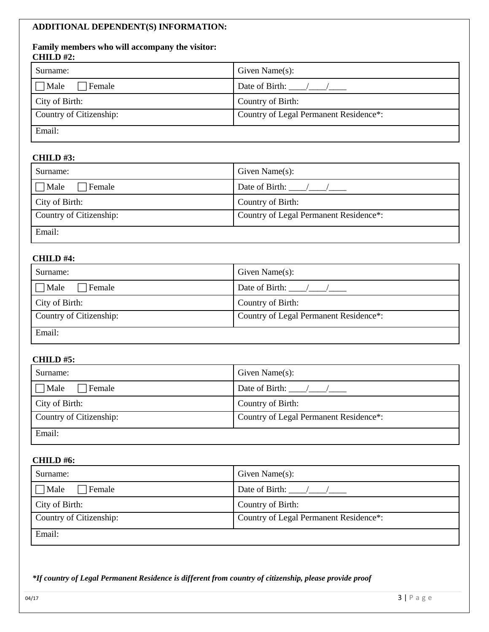### **ADDITIONAL DEPENDENT(S) INFORMATION:**

### **Family members who will accompany the visitor: CHILD #2:**

| Surname:                | Given Name $(s)$ :                     |
|-------------------------|----------------------------------------|
| $\Box$ Male<br>Female   | Date of Birth: $\frac{1}{2}$ /         |
| City of Birth:          | Country of Birth:                      |
| Country of Citizenship: | Country of Legal Permanent Residence*: |
| Email:                  |                                        |

### **CHILD #3:**

| Surname:                | Given Name $(s)$ :                     |
|-------------------------|----------------------------------------|
| $\Box$ Male<br>Female   | Date of Birth: $\frac{1}{2}$           |
| City of Birth:          | Country of Birth:                      |
| Country of Citizenship: | Country of Legal Permanent Residence*: |
| Email:                  |                                        |

### **CHILD #4:**

| Surname:                | Given Name $(s)$ :                     |
|-------------------------|----------------------------------------|
| $\Box$ Male<br>Female   | Date of Birth: $\frac{1}{2}$           |
| City of Birth:          | Country of Birth:                      |
| Country of Citizenship: | Country of Legal Permanent Residence*: |
| Email:                  |                                        |

### **CHILD #5:**

| Surname:                     | Given Name $(s)$ :                     |
|------------------------------|----------------------------------------|
| $\Box$ Male<br>$\Box$ Female | Date of Birth: $\frac{\sqrt{2}}{2}$    |
| City of Birth:               | Country of Birth:                      |
| Country of Citizenship:      | Country of Legal Permanent Residence*: |
| Email:                       |                                        |

### **CHILD #6:**

| Surname:                | Given Name $(s)$ :                     |
|-------------------------|----------------------------------------|
| $\Box$ Male<br>Female   | Date of Birth: $\frac{1}{2}$ /         |
| City of Birth:          | Country of Birth:                      |
| Country of Citizenship: | Country of Legal Permanent Residence*: |
| Email:                  |                                        |

*\*If country of Legal Permanent Residence is different from country of citizenship, please provide proof*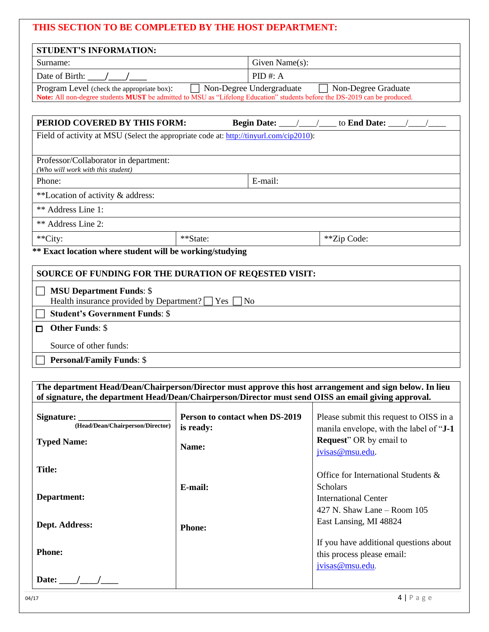| THIS SECTION TO BE COMPLETED BY THE HOST DEPARTMENT:                                                                                                                                                                    |                                             |                                                                                                          |
|-------------------------------------------------------------------------------------------------------------------------------------------------------------------------------------------------------------------------|---------------------------------------------|----------------------------------------------------------------------------------------------------------|
| <b>STUDENT'S INFORMATION:</b>                                                                                                                                                                                           |                                             |                                                                                                          |
| Surname:                                                                                                                                                                                                                | Given Name(s):                              |                                                                                                          |
| Date of Birth: $\frac{\ }{\ }$                                                                                                                                                                                          | $PID$ #: A                                  |                                                                                                          |
| Program Level (check the appropriate box): Non-Degree Undergraduate Non-Degree Graduate<br>Note: All non-degree students MUST be admitted to MSU as "Lifelong Education" students before the DS-2019 can be produced.   |                                             |                                                                                                          |
|                                                                                                                                                                                                                         |                                             |                                                                                                          |
| PERIOD COVERED BY THIS FORM:                                                                                                                                                                                            |                                             |                                                                                                          |
| Field of activity at MSU (Select the appropriate code at: http://tinyurl.com/cip2010):                                                                                                                                  |                                             |                                                                                                          |
|                                                                                                                                                                                                                         |                                             |                                                                                                          |
| Professor/Collaborator in department:<br>(Who will work with this student)                                                                                                                                              |                                             |                                                                                                          |
| Phone:                                                                                                                                                                                                                  | E-mail:                                     |                                                                                                          |
| **Location of activity & address:                                                                                                                                                                                       |                                             |                                                                                                          |
| ** Address Line 1:                                                                                                                                                                                                      |                                             |                                                                                                          |
| ** Address Line 2:                                                                                                                                                                                                      |                                             |                                                                                                          |
| **City:                                                                                                                                                                                                                 | **State:                                    | **Zip Code:                                                                                              |
| ** Exact location where student will be working/studying                                                                                                                                                                |                                             |                                                                                                          |
| SOURCE OF FUNDING FOR THE DURATION OF REQESTED VISIT:                                                                                                                                                                   |                                             |                                                                                                          |
| <b>MSU Department Funds: \$</b><br>Health insurance provided by Department? T Yes<br><b>Student's Government Funds: \$</b><br><b>Other Funds: \$</b><br>□<br>Source of other funds:<br><b>Personal/Family Funds: \$</b> | No                                          |                                                                                                          |
|                                                                                                                                                                                                                         |                                             |                                                                                                          |
| of signature, the department Head/Dean/Chairperson/Director must send OISS an email giving approval.                                                                                                                    |                                             | The department Head/Dean/Chairperson/Director must approve this host arrangement and sign below. In lieu |
| Signature:                                                                                                                                                                                                              | Person to contact when DS-2019<br>is ready: | Please submit this request to OISS in a<br>manila envelope, with the label of "J-1"                      |
| <b>Typed Name:</b>                                                                                                                                                                                                      | Name:                                       | <b>Request</b> " OR by email to<br>jvisas@msu.edu.                                                       |
| <b>Title:</b>                                                                                                                                                                                                           |                                             |                                                                                                          |
|                                                                                                                                                                                                                         | E-mail:                                     | Office for International Students &<br>Scholars                                                          |
| Department:                                                                                                                                                                                                             |                                             | <b>International Center</b>                                                                              |
|                                                                                                                                                                                                                         |                                             | 427 N. Shaw Lane $-$ Room 105                                                                            |
| Dept. Address:                                                                                                                                                                                                          |                                             | East Lansing, MI 48824                                                                                   |
|                                                                                                                                                                                                                         | <b>Phone:</b>                               |                                                                                                          |
| <b>Phone:</b>                                                                                                                                                                                                           |                                             | If you have additional questions about<br>this process please email:<br>jvisas@msu.edu.                  |
| Date: $\frac{1}{\sqrt{1-\frac{1}{2}}}\frac{1}{\sqrt{1-\frac{1}{2}}}}$                                                                                                                                                   |                                             |                                                                                                          |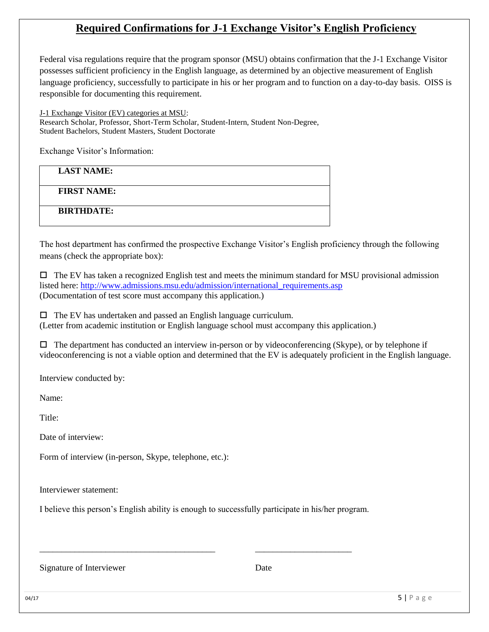## **Required Confirmations for J-1 Exchange Visitor's English Proficiency**

Federal visa regulations require that the program sponsor (MSU) obtains confirmation that the J-1 Exchange Visitor possesses sufficient proficiency in the English language, as determined by an objective measurement of English language proficiency, successfully to participate in his or her program and to function on a day-to-day basis. OISS is responsible for documenting this requirement.

J-1 Exchange Visitor (EV) categories at MSU: Research Scholar, Professor, Short-Term Scholar, Student-Intern, Student Non-Degree, Student Bachelors, Student Masters, Student Doctorate

Exchange Visitor's Information:

**LAST NAME:** 

**FIRST NAME:** 

**BIRTHDATE:** 

The host department has confirmed the prospective Exchange Visitor's English proficiency through the following means (check the appropriate box):

 $\Box$  The EV has taken a recognized English test and meets the minimum standard for MSU provisional admission listed here: http://www.admissions.msu.edu/admission/international\_requirements.asp (Documentation of test score must accompany this application.)

 $\Box$  The EV has undertaken and passed an English language curriculum. (Letter from academic institution or English language school must accompany this application.)

 $\Box$  The department has conducted an interview in-person or by videoconferencing (Skype), or by telephone if videoconferencing is not a viable option and determined that the EV is adequately proficient in the English language.

Interview conducted by:

Name:

Title:

Date of interview:

Form of interview (in-person, Skype, telephone, etc.):

Interviewer statement:

I believe this person's English ability is enough to successfully participate in his/her program.

\_\_\_\_\_\_\_\_\_\_\_\_\_\_\_\_\_\_\_\_\_\_\_\_\_\_\_\_\_\_\_\_\_\_\_\_\_\_\_\_ \_\_\_\_\_\_\_\_\_\_\_\_\_\_\_\_\_\_\_\_\_\_

Signature of Interviewer Date